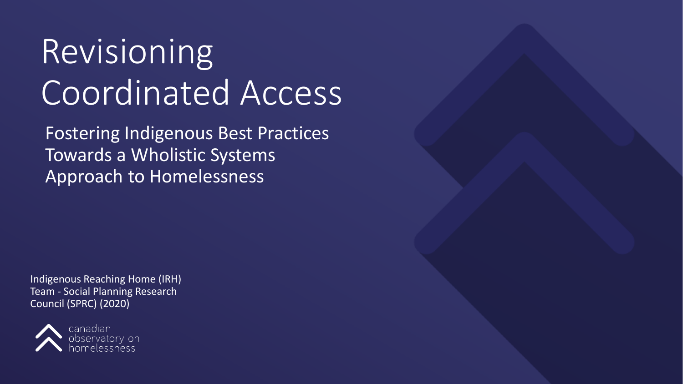# Revisioning Coordinated Access

Fostering Indigenous Best Practices Towards a Wholistic Systems Approach to Homelessness

Indigenous Reaching Home (IRH) Team - Social Planning Research Council (SPRC) (2020)

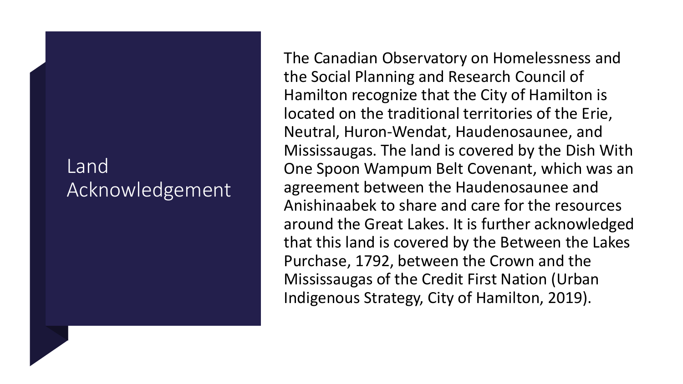#### Land Acknowledgement

The Canadian Observatory on Homelessness and the Social Planning and Research Council of Hamilton recognize that the City of Hamilton is located on the traditional territories of the Erie, Neutral, Huron-Wendat, Haudenosaunee, and Mississaugas. The land is covered by the Dish With One Spoon Wampum Belt Covenant, which was an agreement between the Haudenosaunee and Anishinaabek to share and care for the resources around the Great Lakes. It is further acknowledged that this land is covered by the Between the Lakes Purchase, 1792, between the Crown and the Mississaugas of the Credit First Nation (Urban Indigenous Strategy, City of Hamilton, 2019).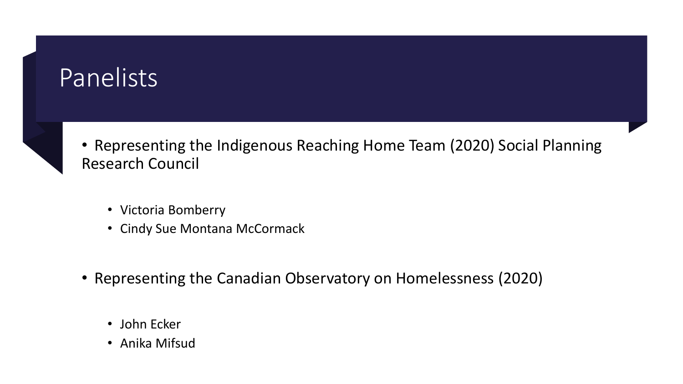#### **Panelists**



• Representing the Indigenous Reaching Home Team (2020) Social Planning Research Council

- Victoria Bomberry
- Cindy Sue Montana McCormack
- Representing the Canadian Observatory on Homelessness (2020)
	- John Ecker
	- Anika Mifsud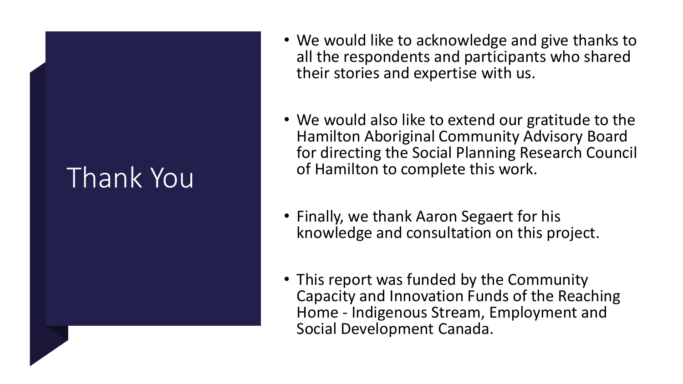## Thank You

- We would like to acknowledge and give thanks to all the respondents and participants who shared their stories and expertise with us.
- We would also like to extend our gratitude to the Hamilton Aboriginal Community Advisory Board for directing the Social Planning Research Council of Hamilton to complete this work.
- Finally, we thank Aaron Segaert for his knowledge and consultation on this project.
- This report was funded by the Community Capacity and Innovation Funds of the Reaching Home - Indigenous Stream, Employment and Social Development Canada.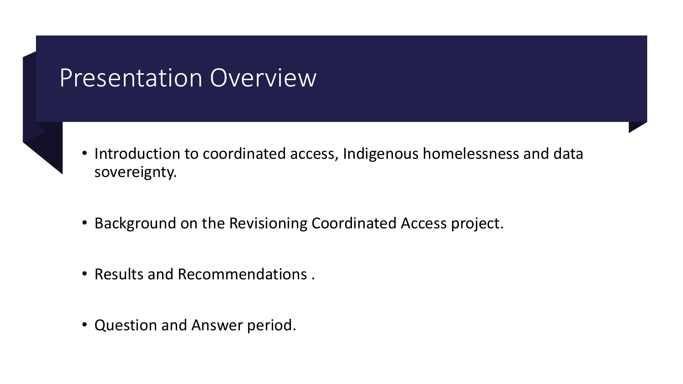#### Presentation Overview



- Introduction to coordinated access, Indigenous homelessness and data sovereignty.
- Background on the Revisioning Coordinated Access project.
- Results and Recommendations .
- Question and Answer period.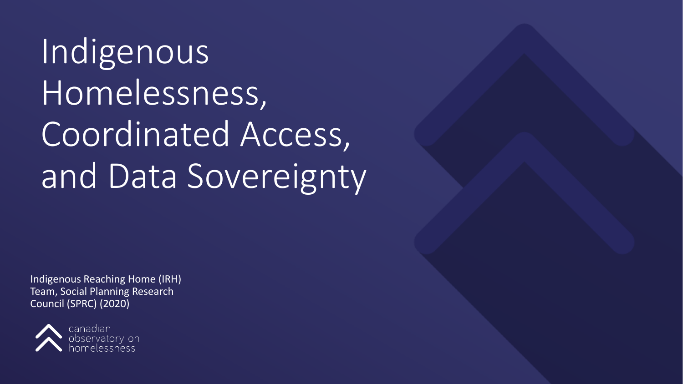Indigenous Homelessness, Coordinated Access, and Data Sovereignty

Indigenous Reaching Home (IRH) Team, Social Planning Research Council (SPRC) (2020)

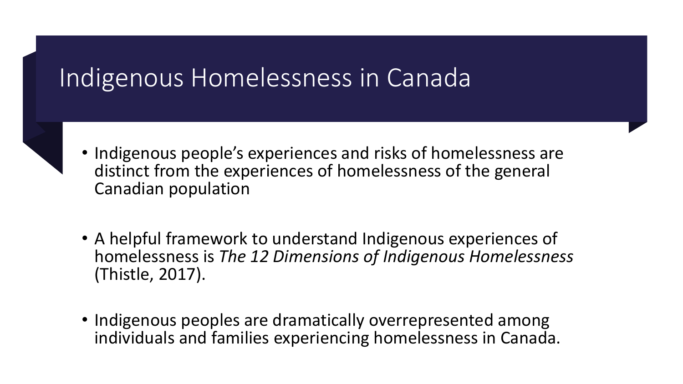#### Indigenous Homelessness in Canada

- 
- Indigenous people's experiences and risks of homelessness are distinct from the experiences of homelessness of the general Canadian population
- A helpful framework to understand Indigenous experiences of homelessness is *The 12 Dimensions of Indigenous Homelessness*  (Thistle, 2017).
- Indigenous peoples are dramatically overrepresented among individuals and families experiencing homelessness in Canada.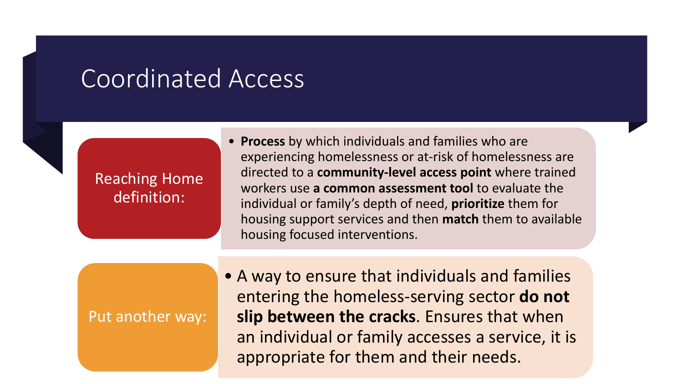#### Coordinated Access

#### Reaching Home definition:

• **Process** by which individuals and families who are experiencing homelessness or at-risk of homelessness are directed to a **community-level access point** where trained workers use **a common assessment tool** to evaluate the individual or family's depth of need, **prioritize** them for housing support services and then **match** them to available housing focused interventions.

#### Put another way:

• A way to ensure that individuals and families entering the homeless-serving sector **do not slip between the cracks**. Ensures that when an individual or family accesses a service, it is appropriate for them and their needs.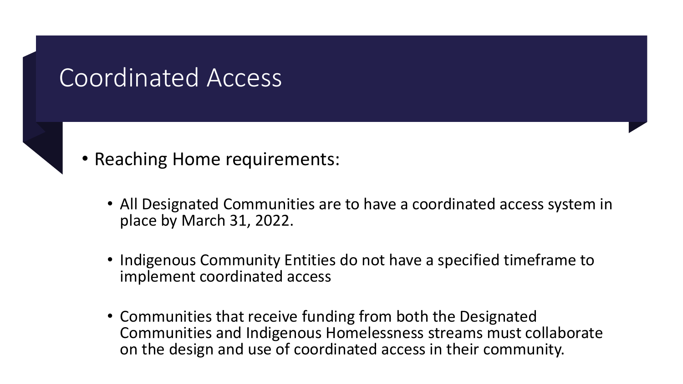#### Coordinated Access



• Reaching Home requirements:

- All Designated Communities are to have a coordinated access system in place by March 31, 2022.
- Indigenous Community Entities do not have a specified timeframe to implement coordinated access
- Communities that receive funding from both the Designated Communities and Indigenous Homelessness streams must collaborate on the design and use of coordinated access in their community.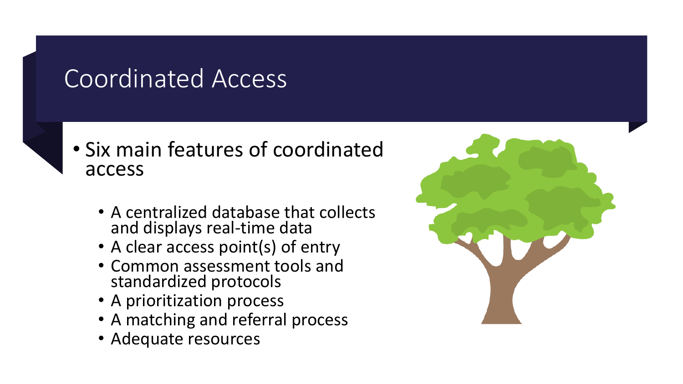### Coordinated Access



#### • Six main features of coordinated access

- A centralized database that collects and displays real-time data
- A clear access point(s) of entry
- Common assessment tools and standardized protocols
- A prioritization process
- A matching and referral process
- Adequate resources

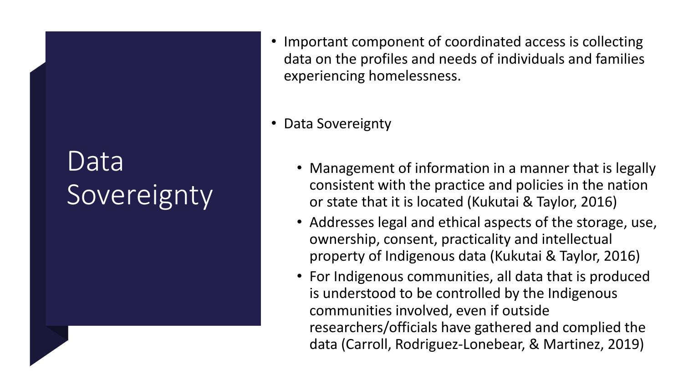## Data Sovereignty

• Important component of coordinated access is collecting data on the profiles and needs of individuals and families experiencing homelessness.

• Data Sovereignty

- Management of information in a manner that is legally consistent with the practice and policies in the nation or state that it is located (Kukutai & Taylor, 2016)
- Addresses legal and ethical aspects of the storage, use, ownership, consent, practicality and intellectual property of Indigenous data (Kukutai & Taylor, 2016)
- For Indigenous communities, all data that is produced is understood to be controlled by the Indigenous communities involved, even if outside researchers/officials have gathered and complied the data (Carroll, Rodriguez-Lonebear, & Martinez, 2019)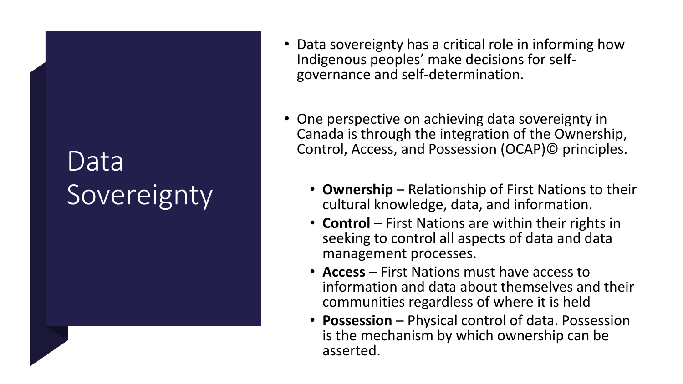## Data **Sovereignty**

- Data sovereignty has a critical role in informing how Indigenous peoples' make decisions for self- governance and self-determination.
- One perspective on achieving data sovereignty in Canada is through the integration of the Ownership, Control, Access, and Possession (OCAP)© principles.
	- **Ownership** Relationship of First Nations to their cultural knowledge, data, and information.
	- **Control** First Nations are within their rights in seeking to control all aspects of data and data management processes.
	- **Access** First Nations must have access to information and data about themselves and their communities regardless of where it is held
	- **Possession** Physical control of data. Possession is the mechanism by which ownership can be asserted.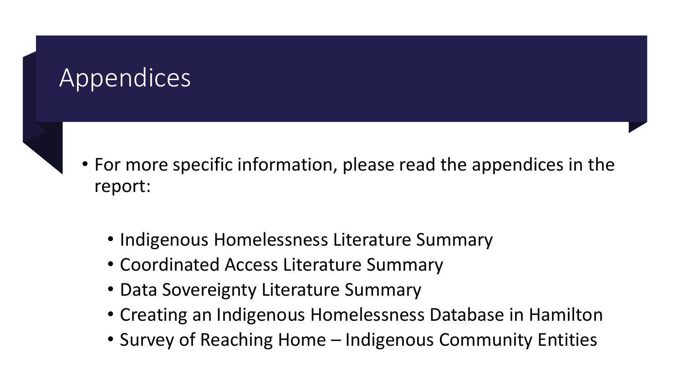#### Appendices

- For more specific information, please read the appendices in the report:
	- Indigenous Homelessness Literature Summary
	- Coordinated Access Literature Summary
	- Data Sovereignty Literature Summary
	- Creating an Indigenous Homelessness Database in Hamilton
	- Survey of Reaching Home Indigenous Community Entities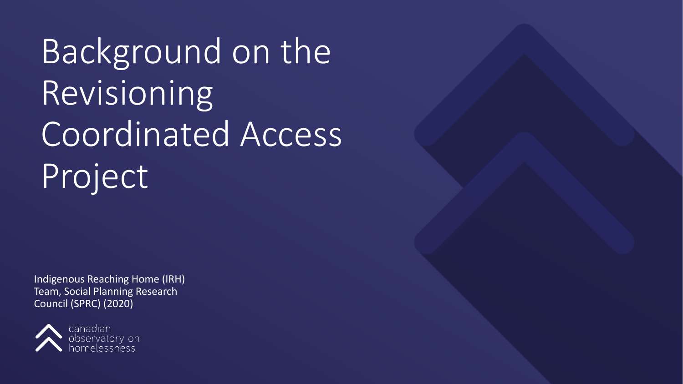Background on the Revisioning Coordinated Access Project

Indigenous Reaching Home (IRH) Team, Social Planning Research Council (SPRC) (2020)

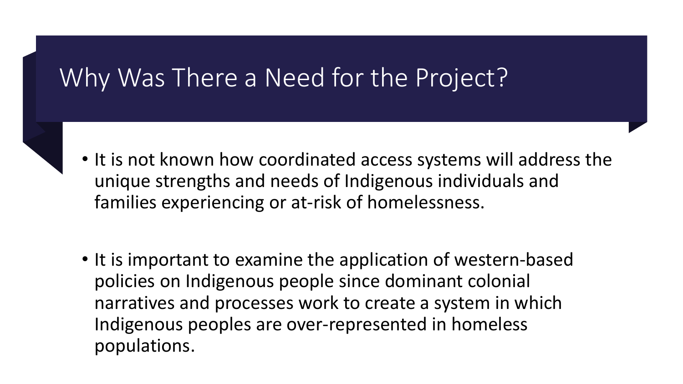#### Why Was There a Need for the Project?

- 
- It is not known how coordinated access systems will address the unique strengths and needs of Indigenous individuals and families experiencing or at-risk of homelessness.
- It is important to examine the application of western-based policies on Indigenous people since dominant colonial narratives and processes work to create a system in which Indigenous peoples are over-represented in homeless populations.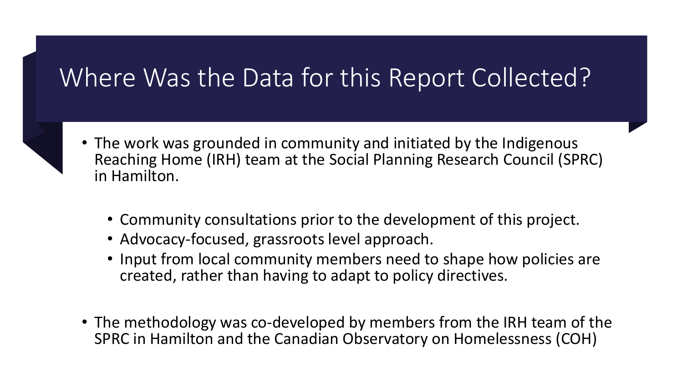### Where Was the Data for this Report Collected?



- The work was grounded in community and initiated by the Indigenous Reaching Home (IRH) team at the Social Planning Research Council (SPRC) in Hamilton.
	- Community consultations prior to the development of this project.
	- Advocacy-focused, grassroots level approach.
	- Input from local community members need to shape how policies are created, rather than having to adapt to policy directives.
- The methodology was co-developed by members from the IRH team of the SPRC in Hamilton and the Canadian Observatory on Homelessness (COH)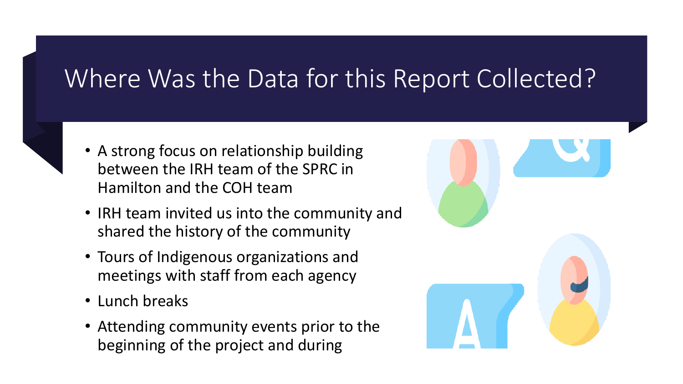### Where Was the Data for this Report Collected?

- 
- A strong focus on relationship building between the IRH team of the SPRC in Hamilton and the COH team
- IRH team invited us into the community and shared the history of the community
- Tours of Indigenous organizations and meetings with staff from each agency
- Lunch breaks
- Attending community events prior to the beginning of the project and during

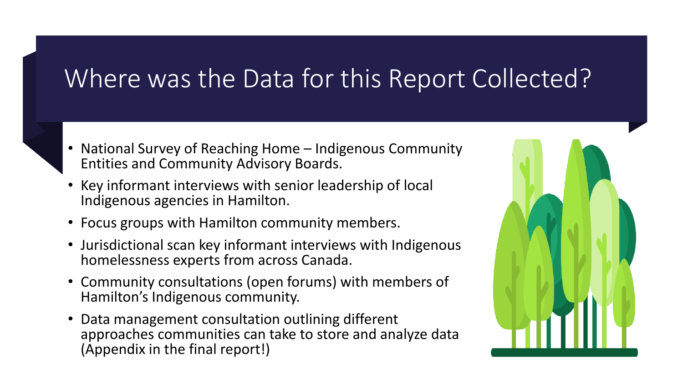### Where was the Data for this Report Collected?

- National Survey of Reaching Home Indigenous Community Entities and Community Advisory Boards.
- Key informant interviews with senior leadership of local Indigenous agencies in Hamilton.
- Focus groups with Hamilton community members.
- Jurisdictional scan key informant interviews with Indigenous homelessness experts from across Canada.
- Community consultations (open forums) with members of Hamilton's Indigenous community.
- Data management consultation outlining different approaches communities can take to store and analyze data (Appendix in the final report!)

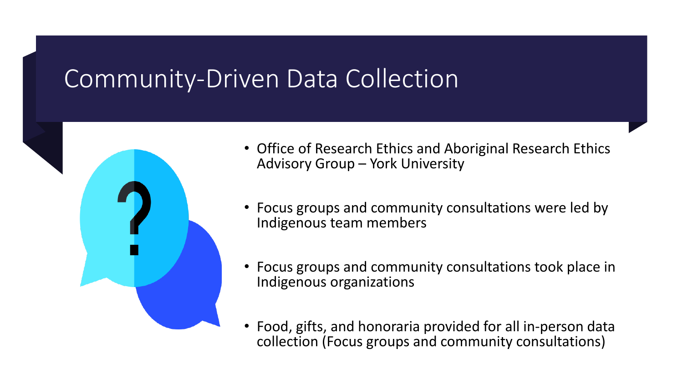#### Community-Driven Data Collection



- Office of Research Ethics and Aboriginal Research Ethics Advisory Group – York University
- Focus groups and community consultations were led by Indigenous team members
- Focus groups and community consultations took place in Indigenous organizations
- Food, gifts, and honoraria provided for all in-person data collection (Focus groups and community consultations)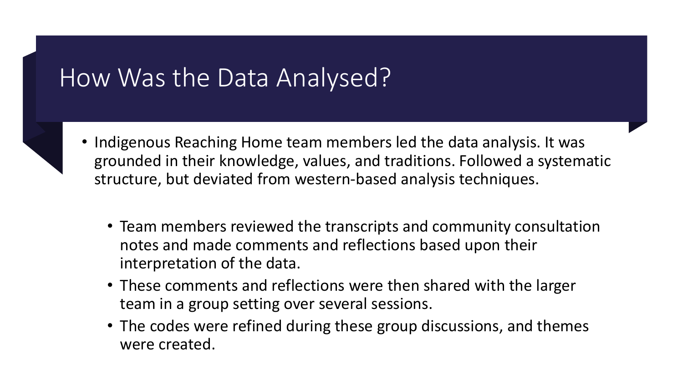### How Was the Data Analysed?



- Indigenous Reaching Home team members led the data analysis. It was grounded in their knowledge, values, and traditions. Followed a systematic structure, but deviated from western-based analysis techniques.
	- Team members reviewed the transcripts and community consultation notes and made comments and reflections based upon their interpretation of the data.
	- These comments and reflections were then shared with the larger team in a group setting over several sessions.
	- The codes were refined during these group discussions, and themes were created.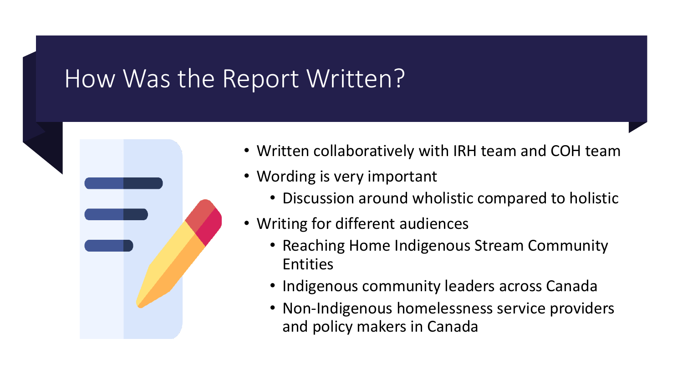#### How Was the Report Written?



- Written collaboratively with IRH team and COH team
- Wording is very important
	- Discussion around wholistic compared to holistic
- Writing for different audiences
	- Reaching Home Indigenous Stream Community Entities
	- Indigenous community leaders across Canada
	- Non-Indigenous homelessness service providers and policy makers in Canada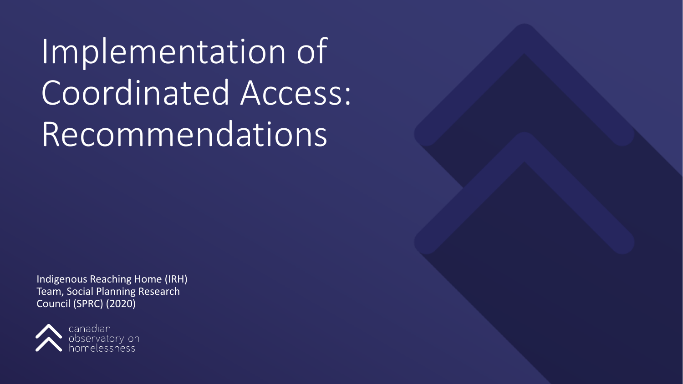Implementation of Coordinated Access: Recommendations

Indigenous Reaching Home (IRH) Team, Social Planning Research Council (SPRC) (2020)

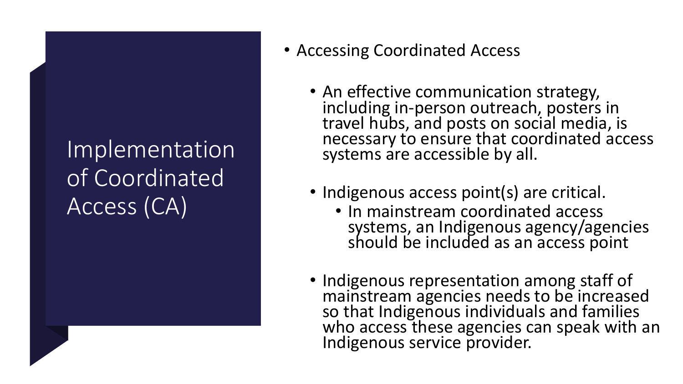- Accessing Coordinated Access
	- An effective communication strategy,<br>including in-person outreach, posters in travel hubs, and posts on social media, is necessary to ensure that coordinated access systems are accessible by all.
	- Indigenous access point(s) are critical.
		- In mainstream coordinated access systems, an Indigenous agency/agencies should be included as an access point
	- Indigenous representation among staff of mainstream agencies needs to be increased so that Indigenous individuals and families who access these agencies can speak with an Indigenous service provider.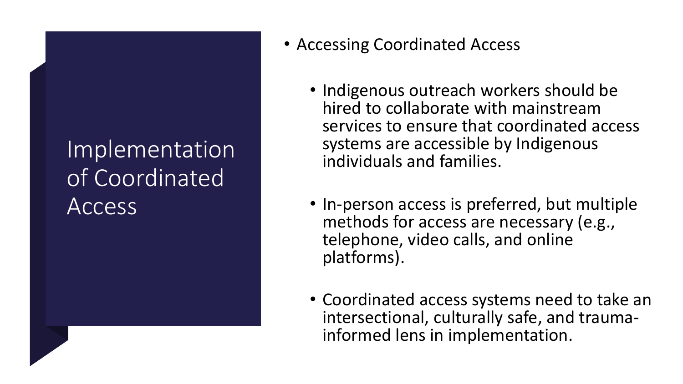- Accessing Coordinated Access
	- Indigenous outreach workers should be hired to collaborate with mainstream services to ensure that coordinated access systems are accessible by Indigenous individuals and families.
	- In-person access is preferred, but multiple methods for access are necessary (e.g., telephone, video calls, and online platforms).
	- Coordinated access systems need to take an intersectional, culturally safe, and trauma- informed lens in implementation.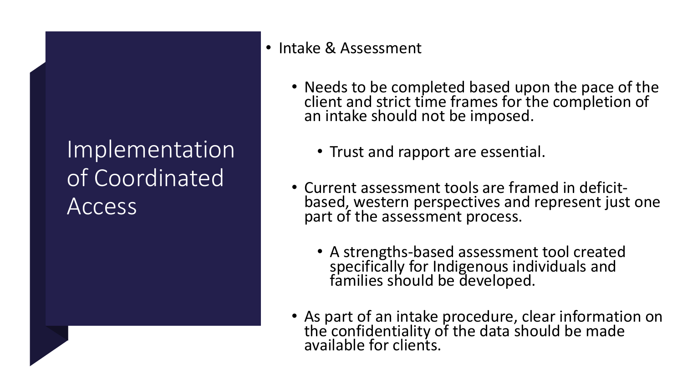#### • Intake & Assessment

- Needs to be completed based upon the pace of the client and strict time frames for the completion of an intake should not be imposed.
	- Trust and rapport are essential.
- Current assessment tools are framed in deficit- based, western perspectives and represent just one part of the assessment process.
	- A strengths-based assessment tool created specifically for Indigenous individuals and families should be developed.
- As part of an intake procedure, clear information on the confidentiality of the data should be made available for clients.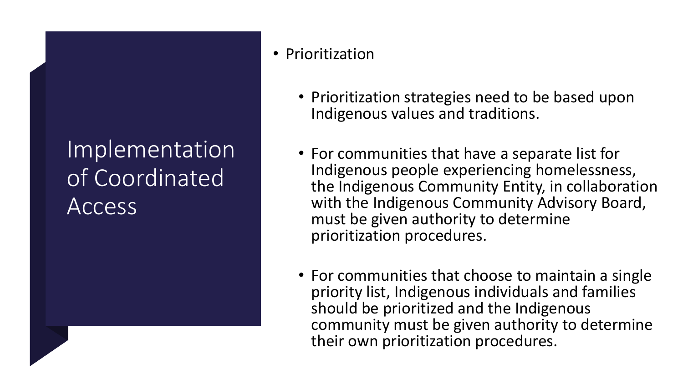#### • Prioritization

- Prioritization strategies need to be based upon Indigenous values and traditions.
- For communities that have a separate list for Indigenous people experiencing homelessness, the Indigenous Community Entity, in collaboration with the Indigenous Community Advisory Board, must be given authority to determine prioritization procedures.
- For communities that choose to maintain a single priority list, Indigenous individuals and families should be prioritized and the Indigenous community must be given authority to determine their own prioritization procedures.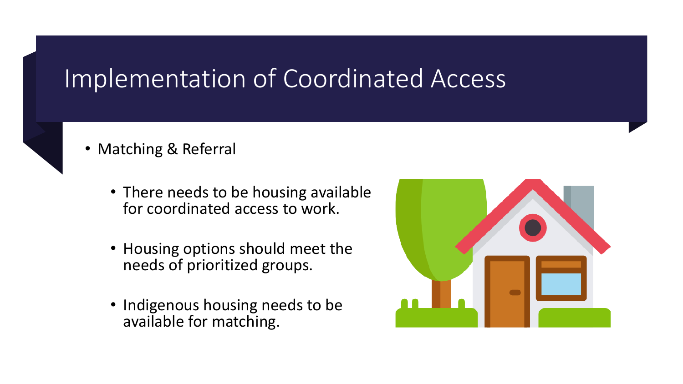

- Matching & Referral
	- There needs to be housing available for coordinated access to work.
	- Housing options should meet the needs of prioritized groups.
	- Indigenous housing needs to be available for matching.

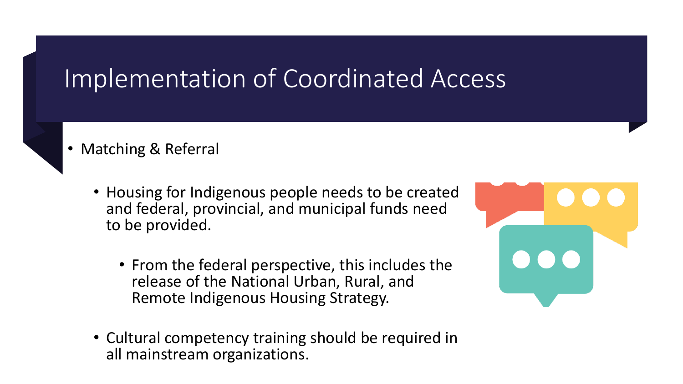- Matching & Referral
	- Housing for Indigenous people needs to be created and federal, provincial, and municipal funds need to be provided.
		- From the federal perspective, this includes the release of the National Urban, Rural, and Remote Indigenous Housing Strategy.
	- Cultural competency training should be required in all mainstream organizations.

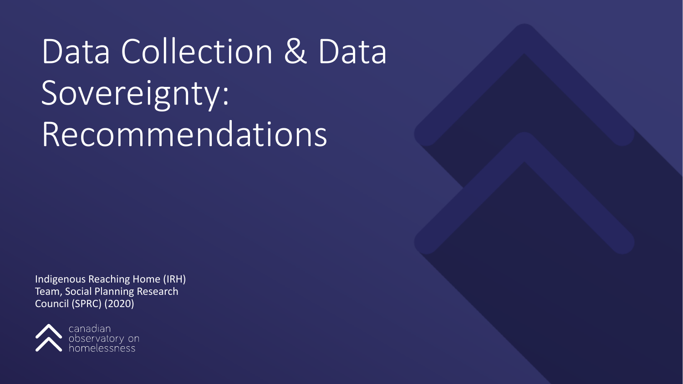# Data Collection & Data Sovereignty: Recommendations

Indigenous Reaching Home (IRH) Team, Social Planning Research Council (SPRC) (2020)

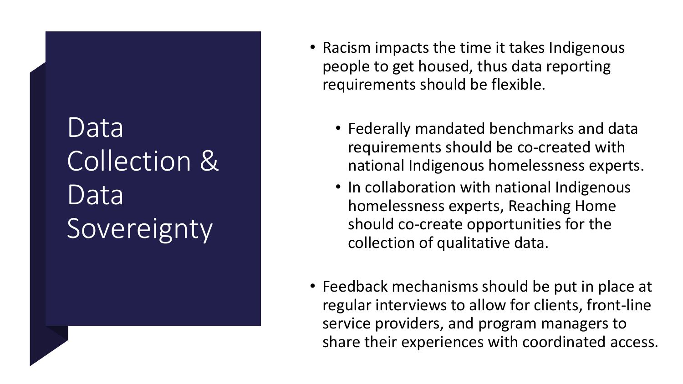## Data Collection & Data Sovereignty

- Racism impacts the time it takes Indigenous people to get housed, thus data reporting requirements should be flexible.
	- Federally mandated benchmarks and data requirements should be co-created with national Indigenous homelessness experts.
	- In collaboration with national Indigenous homelessness experts, Reaching Home should co-create opportunities for the collection of qualitative data.
- Feedback mechanisms should be put in place at regular interviews to allow for clients, front-line service providers, and program managers to share their experiences with coordinated access.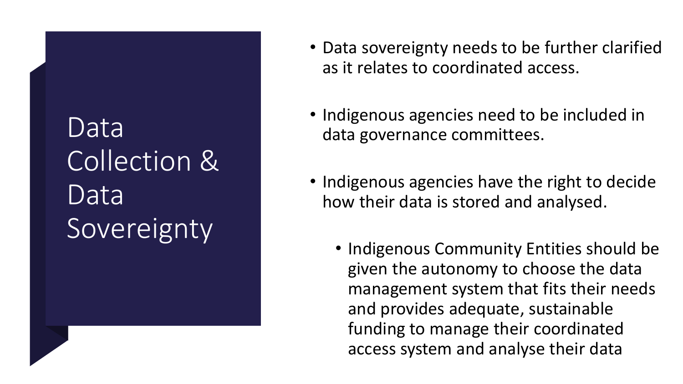## Data Collection & Data Sovereignty

- Data sovereignty needs to be further clarified as it relates to coordinated access.
- Indigenous agencies need to be included in data governance committees.
- Indigenous agencies have the right to decide how their data is stored and analysed.
	- Indigenous Community Entities should be given the autonomy to choose the data management system that fits their needs and provides adequate, sustainable funding to manage their coordinated access system and analyse their data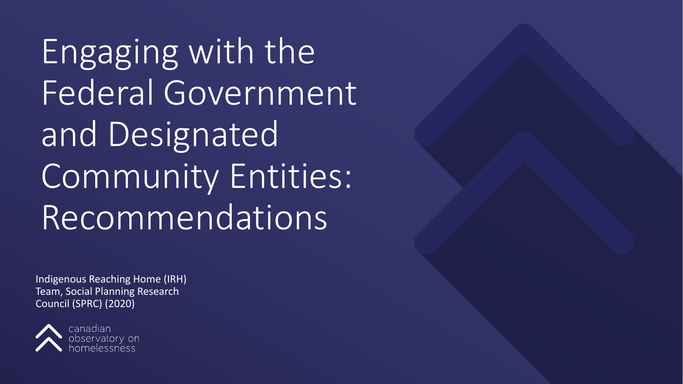Engaging with the Federal Government and Designated Community Entities: Recommendations

Indigenous Reaching Home (IRH) Team, Social Planning Research Council (SPRC) (2020)

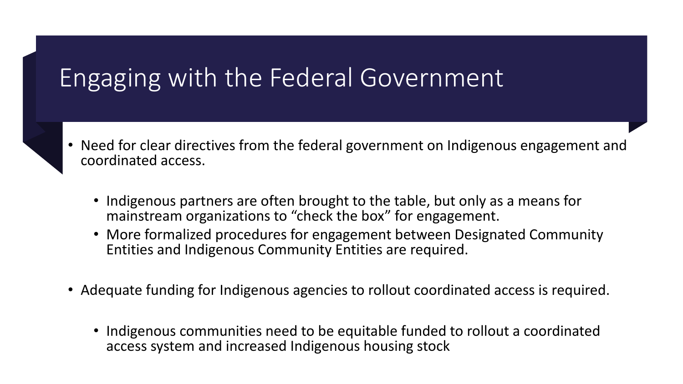### Engaging with the Federal Government

- Need for clear directives from the federal government on Indigenous engagement and coordinated access.
	- Indigenous partners are often brought to the table, but only as a means for mainstream organizations to "check the box" for engagement.
	- More formalized procedures for engagement between Designated Community Entities and Indigenous Community Entities are required.
	- Adequate funding for Indigenous agencies to rollout coordinated access is required.
		- Indigenous communities need to be equitable funded to rollout a coordinated access system and increased Indigenous housing stock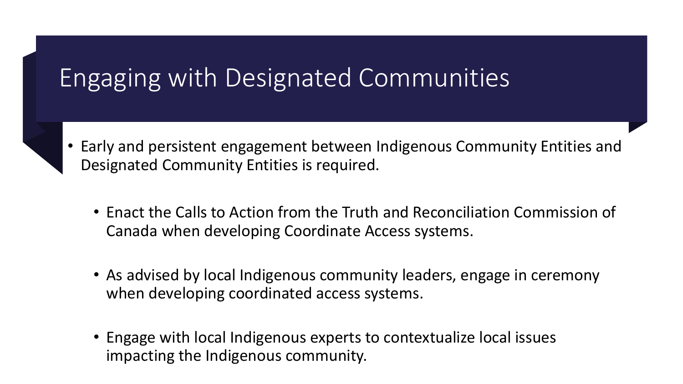### Engaging with Designated Communities



- Enact the Calls to Action from the Truth and Reconciliation Commission of Canada when developing Coordinate Access systems.
- As advised by local Indigenous community leaders, engage in ceremony when developing coordinated access systems.
- Engage with local Indigenous experts to contextualize local issues impacting the Indigenous community.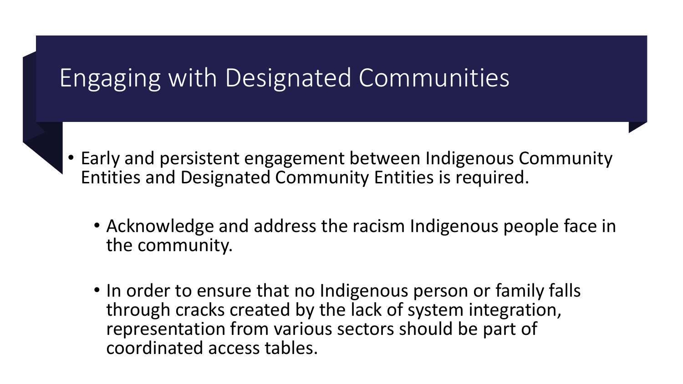### Engaging with Designated Communities

- Early and persistent engagement between Indigenous Community Entities and Designated Community Entities is required.
	- Acknowledge and address the racism Indigenous people face in the community.
	- In order to ensure that no Indigenous person or family falls through cracks created by the lack of system integration, representation from various sectors should be part of coordinated access tables.